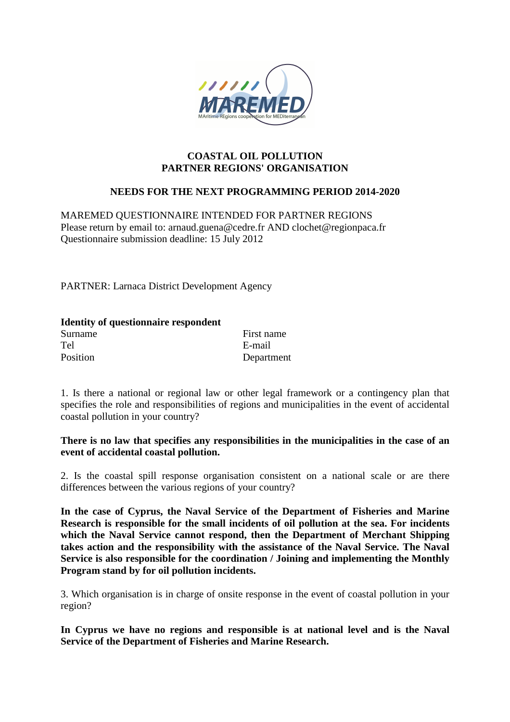

#### **COASTAL OIL POLLUTION PARTNER REGIONS' ORGANISATION**

## **NEEDS FOR THE NEXT PROGRAMMING PERIOD 2014-2020**

MAREMED QUESTIONNAIRE INTENDED FOR PARTNER REGIONS Please return by email to: arnaud.guena@cedre.fr AND clochet@regionpaca.fr Questionnaire submission deadline: 15 July 2012

PARTNER: Larnaca District Development Agency

| <b>Identity of questionnaire respondent</b> |            |
|---------------------------------------------|------------|
| Surname                                     | First name |
| Tel                                         | E-mail     |
| Position                                    | Department |

1. Is there a national or regional law or other legal framework or a contingency plan that specifies the role and responsibilities of regions and municipalities in the event of accidental coastal pollution in your country?

### **There is no law that specifies any responsibilities in the municipalities in the case of an event of accidental coastal pollution.**

2. Is the coastal spill response organisation consistent on a national scale or are there differences between the various regions of your country?

**In the case of Cyprus, the Naval Service of the Department of Fisheries and Marine Research is responsible for the small incidents of oil pollution at the sea. For incidents which the Naval Service cannot respond, then the Department of Merchant Shipping takes action and the responsibility with the assistance of the Naval Service. The Naval Service is also responsible for the coordination / Joining and implementing the Monthly Program stand by for oil pollution incidents.** 

3. Which organisation is in charge of onsite response in the event of coastal pollution in your region?

**In Cyprus we have no regions and responsible is at national level and is the Naval Service of the Department of Fisheries and Marine Research.**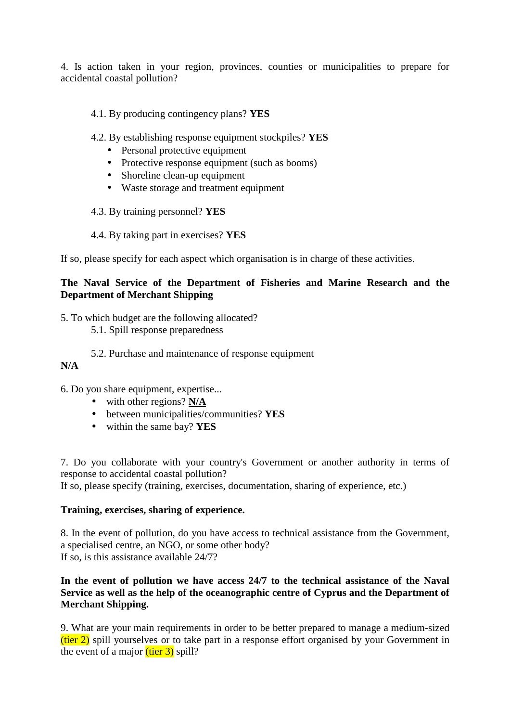4. Is action taken in your region, provinces, counties or municipalities to prepare for accidental coastal pollution?

- 4.1. By producing contingency plans? **YES**
- 4.2. By establishing response equipment stockpiles? **YES**
	- Personal protective equipment
	- Protective response equipment (such as booms)
	- Shoreline clean-up equipment
	- Waste storage and treatment equipment
- 4.3. By training personnel? **YES**
- 4.4. By taking part in exercises? **YES**

If so, please specify for each aspect which organisation is in charge of these activities.

# **The Naval Service of the Department of Fisheries and Marine Research and the Department of Merchant Shipping**

5. To which budget are the following allocated?

- 5.1. Spill response preparedness
- 5.2. Purchase and maintenance of response equipment

## **N/A**

6. Do you share equipment, expertise...

- with other regions? **N/A**
- between municipalities/communities? **YES**
- within the same bay? **YES**

7. Do you collaborate with your country's Government or another authority in terms of response to accidental coastal pollution?

If so, please specify (training, exercises, documentation, sharing of experience, etc.)

## **Training, exercises, sharing of experience.**

8. In the event of pollution, do you have access to technical assistance from the Government, a specialised centre, an NGO, or some other body? If so, is this assistance available 24/7?

## **In the event of pollution we have access 24/7 to the technical assistance of the Naval Service as well as the help of the oceanographic centre of Cyprus and the Department of Merchant Shipping.**

9. What are your main requirements in order to be better prepared to manage a medium-sized  $(tier 2)$  spill yourselves or to take part in a response effort organised by your Government in the event of a major  $(\text{tier } 3)$  spill?